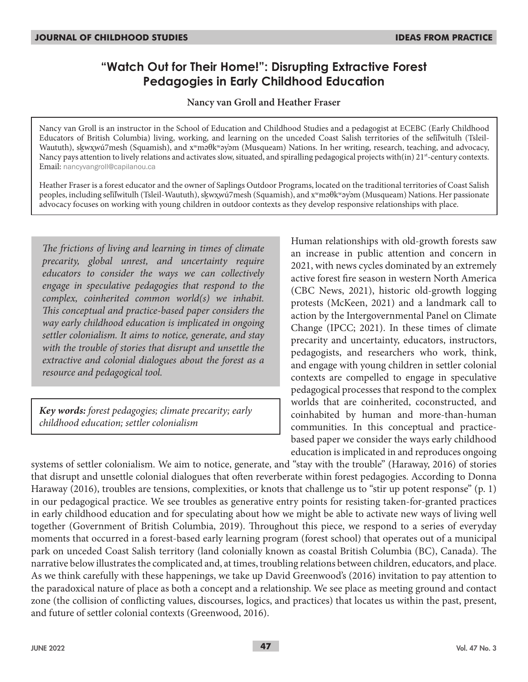# **"Watch Out for Their Home!": Disrupting Extractive Forest Pedagogies in Early Childhood Education**

### **Nancy van Groll and Heather Fraser**

Nancy van Groll is an instructor in the School of Education and Childhood Studies and a pedagogist at ECEBC (Early Childhood Educators of British Columbia) living, working, and learning on the unceded Coast Salish territories of the sel̓íl̓witulh (Tsleil-Waututh), sḵwx̱wú7mesh (Squamish), and xʷməθkʷəy̓əm (Musqueam) Nations. In her writing, research, teaching, and advocacy, Nancy pays attention to lively relations and activates slow, situated, and spiralling pedagogical projects with(in) 21<sup>st</sup>-century contexts. Email: nancyvangroll@capilanou.ca

Heather Fraser is a forest educator and the owner of Saplings Outdoor Programs, located on the traditional territories of Coast Salish peoples, including sel̓íl̓witulh (Tsleil-Waututh), sḵwx̱wú7mesh (Squamish), and xʷməθkʷəy̓əm (Musqueam) Nations. Her passionate advocacy focuses on working with young children in outdoor contexts as they develop responsive relationships with place.

*The frictions of living and learning in times of climate precarity, global unrest, and uncertainty require educators to consider the ways we can collectively engage in speculative pedagogies that respond to the complex, coinherited common world(s) we inhabit. This conceptual and practice-based paper considers the way early childhood education is implicated in ongoing settler colonialism. It aims to notice, generate, and stay with the trouble of stories that disrupt and unsettle the extractive and colonial dialogues about the forest as a resource and pedagogical tool.*

*Key words: forest pedagogies; climate precarity; early childhood education; settler colonialism*

Human relationships with old-growth forests saw an increase in public attention and concern in 2021, with news cycles dominated by an extremely active forest fire season in western North America (CBC News, 2021), historic old-growth logging protests (McKeen, 2021) and a landmark call to action by the Intergovernmental Panel on Climate Change (IPCC; 2021). In these times of climate precarity and uncertainty, educators, instructors, pedagogists, and researchers who work, think, and engage with young children in settler colonial contexts are compelled to engage in speculative pedagogical processes that respond to the complex worlds that are coinherited, coconstructed, and coinhabited by human and more-than-human communities. In this conceptual and practicebased paper we consider the ways early childhood education is implicated in and reproduces ongoing

systems of settler colonialism. We aim to notice, generate, and "stay with the trouble" (Haraway, 2016) of stories that disrupt and unsettle colonial dialogues that often reverberate within forest pedagogies. According to Donna Haraway (2016), troubles are tensions, complexities, or knots that challenge us to "stir up potent response" (p. 1) in our pedagogical practice. We see troubles as generative entry points for resisting taken-for-granted practices in early childhood education and for speculating about how we might be able to activate new ways of living well together (Government of British Columbia, 2019). Throughout this piece, we respond to a series of everyday moments that occurred in a forest-based early learning program (forest school) that operates out of a municipal park on unceded Coast Salish territory (land colonially known as coastal British Columbia (BC), Canada). The narrative below illustrates the complicated and, at times, troubling relations between children, educators, and place. As we think carefully with these happenings, we take up David Greenwood's (2016) invitation to pay attention to the paradoxical nature of place as both a concept and a relationship. We see place as meeting ground and contact zone (the collision of conflicting values, discourses, logics, and practices) that locates us within the past, present, and future of settler colonial contexts (Greenwood, 2016).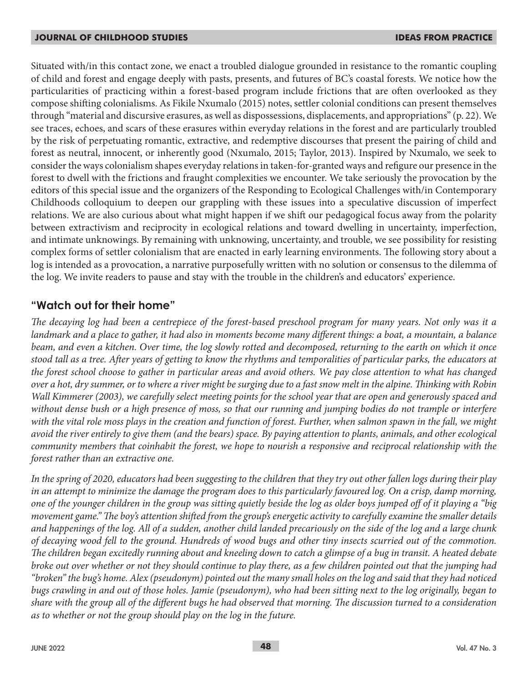Situated with/in this contact zone, we enact a troubled dialogue grounded in resistance to the romantic coupling of child and forest and engage deeply with pasts, presents, and futures of BC's coastal forests. We notice how the particularities of practicing within a forest-based program include frictions that are often overlooked as they compose shifting colonialisms. As Fikile Nxumalo (2015) notes, settler colonial conditions can present themselves through "material and discursive erasures, as well as dispossessions, displacements, and appropriations" (p. 22). We see traces, echoes, and scars of these erasures within everyday relations in the forest and are particularly troubled by the risk of perpetuating romantic, extractive, and redemptive discourses that present the pairing of child and forest as neutral, innocent, or inherently good (Nxumalo, 2015; Taylor, 2013). Inspired by Nxumalo, we seek to consider the ways colonialism shapes everyday relations in taken-for-granted ways and refigure our presence in the forest to dwell with the frictions and fraught complexities we encounter. We take seriously the provocation by the editors of this special issue and the organizers of the Responding to Ecological Challenges with/in Contemporary Childhoods colloquium to deepen our grappling with these issues into a speculative discussion of imperfect relations. We are also curious about what might happen if we shift our pedagogical focus away from the polarity between extractivism and reciprocity in ecological relations and toward dwelling in uncertainty, imperfection, and intimate unknowings. By remaining with unknowing, uncertainty, and trouble, we see possibility for resisting complex forms of settler colonialism that are enacted in early learning environments. The following story about a log is intended as a provocation, a narrative purposefully written with no solution or consensus to the dilemma of the log. We invite readers to pause and stay with the trouble in the children's and educators' experience.

## **"Watch out for their home"**

*The decaying log had been a centrepiece of the forest-based preschool program for many years. Not only was it a landmark and a place to gather, it had also in moments become many different things: a boat, a mountain, a balance beam, and even a kitchen. Over time, the log slowly rotted and decomposed, returning to the earth on which it once stood tall as a tree. After years of getting to know the rhythms and temporalities of particular parks, the educators at the forest school choose to gather in particular areas and avoid others. We pay close attention to what has changed over a hot, dry summer, or to where a river might be surging due to a fast snow melt in the alpine. Thinking with Robin Wall Kimmerer (2003), we carefully select meeting points for the school year that are open and generously spaced and without dense bush or a high presence of moss, so that our running and jumping bodies do not trample or interfere with the vital role moss plays in the creation and function of forest. Further, when salmon spawn in the fall, we might avoid the river entirely to give them (and the bears) space. By paying attention to plants, animals, and other ecological community members that coinhabit the forest, we hope to nourish a responsive and reciprocal relationship with the forest rather than an extractive one.* 

*In the spring of 2020, educators had been suggesting to the children that they try out other fallen logs during their play in an attempt to minimize the damage the program does to this particularly favoured log. On a crisp, damp morning, one of the younger children in the group was sitting quietly beside the log as older boys jumped off of it playing a "big movement game." The boy's attention shifted from the group's energetic activity to carefully examine the smaller details and happenings of the log. All of a sudden, another child landed precariously on the side of the log and a large chunk of decaying wood fell to the ground. Hundreds of wood bugs and other tiny insects scurried out of the commotion. The children began excitedly running about and kneeling down to catch a glimpse of a bug in transit. A heated debate broke out over whether or not they should continue to play there, as a few children pointed out that the jumping had "broken" the bug's home. Alex (pseudonym) pointed out the many small holes on the log and said that they had noticed bugs crawling in and out of those holes. Jamie (pseudonym), who had been sitting next to the log originally, began to share with the group all of the different bugs he had observed that morning. The discussion turned to a consideration as to whether or not the group should play on the log in the future.*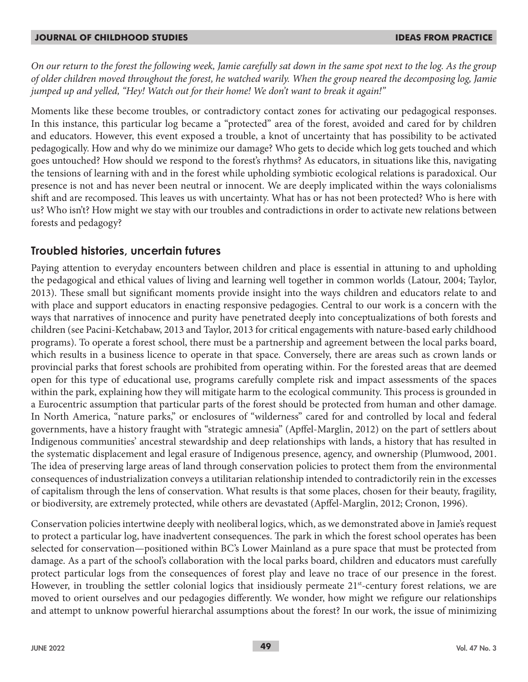*On our return to the forest the following week, Jamie carefully sat down in the same spot next to the log. As the group of older children moved throughout the forest, he watched warily. When the group neared the decomposing log, Jamie jumped up and yelled, "Hey! Watch out for their home! We don't want to break it again!"*

Moments like these become troubles, or contradictory contact zones for activating our pedagogical responses. In this instance, this particular log became a "protected" area of the forest, avoided and cared for by children and educators. However, this event exposed a trouble, a knot of uncertainty that has possibility to be activated pedagogically. How and why do we minimize our damage? Who gets to decide which log gets touched and which goes untouched? How should we respond to the forest's rhythms? As educators, in situations like this, navigating the tensions of learning with and in the forest while upholding symbiotic ecological relations is paradoxical. Our presence is not and has never been neutral or innocent. We are deeply implicated within the ways colonialisms shift and are recomposed. This leaves us with uncertainty. What has or has not been protected? Who is here with us? Who isn't? How might we stay with our troubles and contradictions in order to activate new relations between forests and pedagogy?

### **Troubled histories, uncertain futures**

Paying attention to everyday encounters between children and place is essential in attuning to and upholding the pedagogical and ethical values of living and learning well together in common worlds (Latour, 2004; Taylor, 2013). These small but significant moments provide insight into the ways children and educators relate to and with place and support educators in enacting responsive pedagogies. Central to our work is a concern with the ways that narratives of innocence and purity have penetrated deeply into conceptualizations of both forests and children (see Pacini-Ketchabaw, 2013 and Taylor, 2013 for critical engagements with nature-based early childhood programs). To operate a forest school, there must be a partnership and agreement between the local parks board, which results in a business licence to operate in that space. Conversely, there are areas such as crown lands or provincial parks that forest schools are prohibited from operating within. For the forested areas that are deemed open for this type of educational use, programs carefully complete risk and impact assessments of the spaces within the park, explaining how they will mitigate harm to the ecological community. This process is grounded in a Eurocentric assumption that particular parts of the forest should be protected from human and other damage. In North America, "nature parks," or enclosures of "wilderness" cared for and controlled by local and federal governments, have a history fraught with "strategic amnesia" (Apffel-Marglin, 2012) on the part of settlers about Indigenous communities' ancestral stewardship and deep relationships with lands, a history that has resulted in the systematic displacement and legal erasure of Indigenous presence, agency, and ownership (Plumwood, 2001. The idea of preserving large areas of land through conservation policies to protect them from the environmental consequences of industrialization conveys a utilitarian relationship intended to contradictorily rein in the excesses of capitalism through the lens of conservation. What results is that some places, chosen for their beauty, fragility, or biodiversity, are extremely protected, while others are devastated (Apffel-Marglin, 2012; Cronon, 1996).

Conservation policies intertwine deeply with neoliberal logics, which, as we demonstrated above in Jamie's request to protect a particular log, have inadvertent consequences. The park in which the forest school operates has been selected for conservation—positioned within BC's Lower Mainland as a pure space that must be protected from damage. As a part of the school's collaboration with the local parks board, children and educators must carefully protect particular logs from the consequences of forest play and leave no trace of our presence in the forest. However, in troubling the settler colonial logics that insidiously permeate  $21<sup>st</sup>$ -century forest relations, we are moved to orient ourselves and our pedagogies differently. We wonder, how might we refigure our relationships and attempt to unknow powerful hierarchal assumptions about the forest? In our work, the issue of minimizing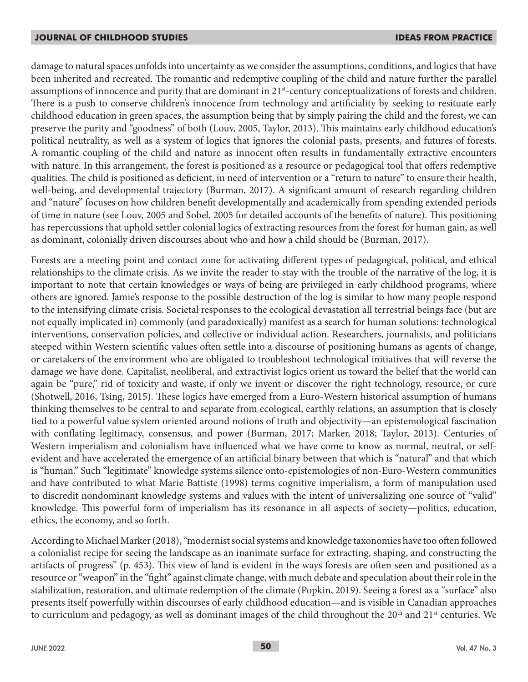damage to natural spaces unfolds into uncertainty as we consider the assumptions, conditions, and logics that have been inherited and recreated. The romantic and redemptive coupling of the child and nature further the parallel assumptions of innocence and purity that are dominant in 21<sup>st</sup>-century conceptualizations of forests and children. There is a push to conserve children's innocence from technology and artificiality by seeking to resituate early childhood education in green spaces, the assumption being that by simply pairing the child and the forest, we can preserve the purity and "goodness" of both (Louv, 2005, Taylor, 2013). This maintains early childhood education's political neutrality, as well as a system of logics that ignores the colonial pasts, presents, and futures of forests. A romantic coupling of the child and nature as innocent often results in fundamentally extractive encounters with nature. In this arrangement, the forest is positioned as a resource or pedagogical tool that offers redemptive qualities. The child is positioned as deficient, in need of intervention or a "return to nature" to ensure their health, well-being, and developmental trajectory (Burman, 2017). A significant amount of research regarding children and "nature" focuses on how children benefit developmentally and academically from spending extended periods of time in nature (see Louv, 2005 and Sobel, 2005 for detailed accounts of the benefits of nature). This positioning has repercussions that uphold settler colonial logics of extracting resources from the forest for human gain, as well as dominant, colonially driven discourses about who and how a child should be (Burman, 2017).

Forests are a meeting point and contact zone for activating different types of pedagogical, political, and ethical relationships to the climate crisis. As we invite the reader to stay with the trouble of the narrative of the log, it is important to note that certain knowledges or ways of being are privileged in early childhood programs, where others are ignored. Jamie's response to the possible destruction of the log is similar to how many people respond to the intensifying climate crisis. Societal responses to the ecological devastation all terrestrial beings face (but are not equally implicated in) commonly (and paradoxically) manifest as a search for human solutions: technological interventions, conservation policies, and collective or individual action. Researchers, journalists, and politicians steeped within Western scientific values often settle into a discourse of positioning humans as agents of change, or caretakers of the environment who are obligated to troubleshoot technological initiatives that will reverse the damage we have done. Capitalist, neoliberal, and extractivist logics orient us toward the belief that the world can again be "pure," rid of toxicity and waste, if only we invent or discover the right technology, resource, or cure (Shotwell, 2016, Tsing, 2015). These logics have emerged from a Euro-Western historical assumption of humans thinking themselves to be central to and separate from ecological, earthly relations, an assumption that is closely tied to a powerful value system oriented around notions of truth and objectivity—an epistemological fascination with conflating legitimacy, consensus, and power (Burman, 2017; Marker, 2018; Taylor, 2013). Centuries of Western imperialism and colonialism have influenced what we have come to know as normal, neutral, or selfevident and have accelerated the emergence of an artificial binary between that which is "natural" and that which is "human." Such "legitimate" knowledge systems silence onto-epistemologies of non-Euro-Western communities and have contributed to what Marie Battiste (1998) terms cognitive imperialism, a form of manipulation used to discredit nondominant knowledge systems and values with the intent of universalizing one source of "valid" knowledge. This powerful form of imperialism has its resonance in all aspects of society—politics, education, ethics, the economy, and so forth.

According to Michael Marker (2018), "modernist social systems and knowledge taxonomies have too often followed a colonialist recipe for seeing the landscape as an inanimate surface for extracting, shaping, and constructing the artifacts of progress" (p. 453). This view of land is evident in the ways forests are often seen and positioned as a resource or "weapon" in the "fight" against climate change, with much debate and speculation about their role in the stabilization, restoration, and ultimate redemption of the climate (Popkin, 2019). Seeing a forest as a "surface" also presents itself powerfully within discourses of early childhood education—and is visible in Canadian approaches to curriculum and pedagogy, as well as dominant images of the child throughout the  $20<sup>th</sup>$  and  $21<sup>st</sup>$  centuries. We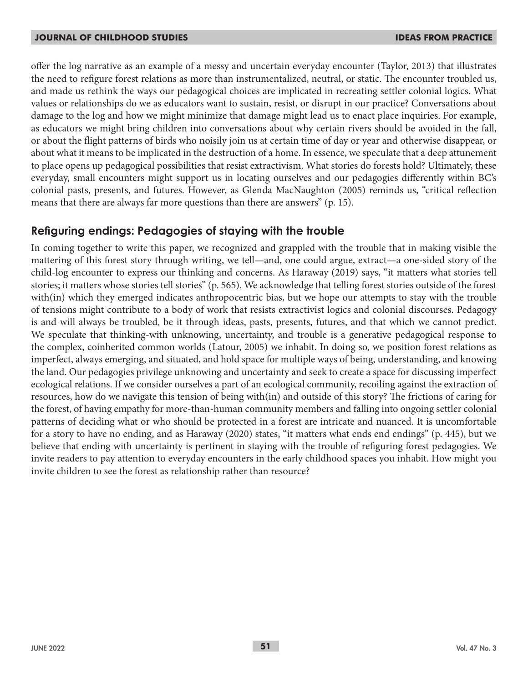offer the log narrative as an example of a messy and uncertain everyday encounter (Taylor, 2013) that illustrates the need to refigure forest relations as more than instrumentalized, neutral, or static. The encounter troubled us, and made us rethink the ways our pedagogical choices are implicated in recreating settler colonial logics. What values or relationships do we as educators want to sustain, resist, or disrupt in our practice? Conversations about damage to the log and how we might minimize that damage might lead us to enact place inquiries. For example, as educators we might bring children into conversations about why certain rivers should be avoided in the fall, or about the flight patterns of birds who noisily join us at certain time of day or year and otherwise disappear, or about what it means to be implicated in the destruction of a home. In essence, we speculate that a deep attunement to place opens up pedagogical possibilities that resist extractivism. What stories do forests hold? Ultimately, these everyday, small encounters might support us in locating ourselves and our pedagogies differently within BC's colonial pasts, presents, and futures. However, as Glenda MacNaughton (2005) reminds us, "critical reflection means that there are always far more questions than there are answers" (p. 15).

# **Refiguring endings: Pedagogies of staying with the trouble**

In coming together to write this paper, we recognized and grappled with the trouble that in making visible the mattering of this forest story through writing, we tell—and, one could argue, extract—a one-sided story of the child-log encounter to express our thinking and concerns. As Haraway (2019) says, "it matters what stories tell stories; it matters whose stories tell stories" (p. 565). We acknowledge that telling forest stories outside of the forest with(in) which they emerged indicates anthropocentric bias, but we hope our attempts to stay with the trouble of tensions might contribute to a body of work that resists extractivist logics and colonial discourses. Pedagogy is and will always be troubled, be it through ideas, pasts, presents, futures, and that which we cannot predict. We speculate that thinking-with unknowing, uncertainty, and trouble is a generative pedagogical response to the complex, coinherited common worlds (Latour, 2005) we inhabit. In doing so, we position forest relations as imperfect, always emerging, and situated, and hold space for multiple ways of being, understanding, and knowing the land. Our pedagogies privilege unknowing and uncertainty and seek to create a space for discussing imperfect ecological relations. If we consider ourselves a part of an ecological community, recoiling against the extraction of resources, how do we navigate this tension of being with(in) and outside of this story? The frictions of caring for the forest, of having empathy for more-than-human community members and falling into ongoing settler colonial patterns of deciding what or who should be protected in a forest are intricate and nuanced. It is uncomfortable for a story to have no ending, and as Haraway (2020) states, "it matters what ends end endings" (p. 445), but we believe that ending with uncertainty is pertinent in staying with the trouble of refiguring forest pedagogies. We invite readers to pay attention to everyday encounters in the early childhood spaces you inhabit. How might you invite children to see the forest as relationship rather than resource?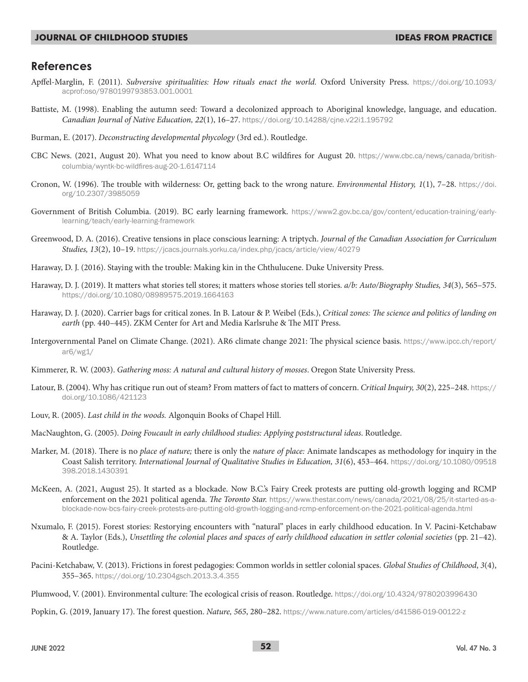### **References**

- Apffel-Marglin, F. (2011). *Subversive spiritualities: How rituals enact the world.* Oxford University Press. https://doi.org/10.1093/ acprof:oso/9780199793853.001.0001
- Battiste, M. (1998). Enabling the autumn seed: Toward a decolonized approach to Aboriginal knowledge, language, and education. *Canadian Journal of Native Education, 22*(1), 16–27. https://doi.org/10.14288/cjne.v22i1.195792
- Burman, E. (2017). *Deconstructing developmental phycology* (3rd ed.). Routledge.
- CBC News. (2021, August 20). What you need to know about B.C wildfires for August 20. https://www.cbc.ca/news/canada/britishcolumbia/wyntk-bc-wildfires-aug-20-1.6147114
- Cronon, W. (1996). The trouble with wilderness: Or, getting back to the wrong nature. *Environmental History, 1*(1), 7–28. https://doi. org/10.2307/3985059
- Government of British Columbia. (2019). BC early learning framework. https://www2.gov.bc.ca/gov/content/education-training/earlylearning/teach/early-learning-framework
- Greenwood, D. A. (2016). Creative tensions in place conscious learning: A triptych. *Journal of the Canadian Association for Curriculum Studies, 13*(2), 10–19. https://jcacs.journals.yorku.ca/index.php/jcacs/article/view/40279
- Haraway, D. J. (2016). Staying with the trouble: Making kin in the Chthulucene. Duke University Press.
- Haraway, D. J. (2019). It matters what stories tell stores; it matters whose stories tell stories. *a/b: Auto/Biography Studies, 34*(3), 565–575. https://doi.org/10.1080/08989575.2019.1664163
- Haraway, D. J. (2020). Carrier bags for critical zones. In B. Latour & P. Weibel (Eds.), *Critical zones: The science and politics of landing on earth* (pp. 440–445). ZKM Center for Art and Media Karlsruhe & The MIT Press.
- Intergovernmental Panel on Climate Change. (2021). AR6 climate change 2021: The physical science basis. https://www.ipcc.ch/report/ ar6/wg1/
- Kimmerer, R. W. (2003). *Gathering moss: A natural and cultural history of mosses*. Oregon State University Press.
- Latour, B. (2004). Why has critique run out of steam? From matters of fact to matters of concern. *Critical Inquiry, 30*(2), 225–248. https:// doi.org/10.1086/421123
- Louv, R. (2005). *Last child in the woods.* Algonquin Books of Chapel Hill.
- MacNaughton, G. (2005). *Doing Foucault in early childhood studies: Applying poststructural ideas*. Routledge.
- Marker, M. (2018). There is no *place of nature;* there is only the *nature of place:* Animate landscapes as methodology for inquiry in the Coast Salish territory. *International Journal of Qualitative Studies in Education, 31*(6), 453–464. https://doi.org/10.1080/09518 398.2018.1430391
- McKeen, A. (2021, August 25). It started as a blockade. Now B.C.'s Fairy Creek protests are putting old-growth logging and RCMP enforcement on the 2021 political agenda. *The Toronto Star.* https://www.thestar.com/news/canada/2021/08/25/it-started-as-ablockade-now-bcs-fairy-creek-protests-are-putting-old-growth-logging-and-rcmp-enforcement-on-the-2021-political-agenda.html
- Nxumalo, F. (2015). Forest stories: Restorying encounters with "natural" places in early childhood education. In V. Pacini-Ketchabaw & A. Taylor (Eds.), *Unsettling the colonial places and spaces of early childhood education in settler colonial societies* (pp. 21–42). Routledge.
- Pacini-Ketchabaw, V. (2013). Frictions in forest pedagogies: Common worlds in settler colonial spaces. *Global Studies of Childhood*, *3*(4), 355–365. https://doi.org/10.2304gsch.2013.3.4.355

Plumwood, V. (2001). Environmental culture: The ecological crisis of reason. Routledge. https://doi.org/10.4324/9780203996430

Popkin, G. (2019, January 17). The forest question. *Nature, 565*, 280–282. https://www.nature.com/articles/d41586-019-00122-z